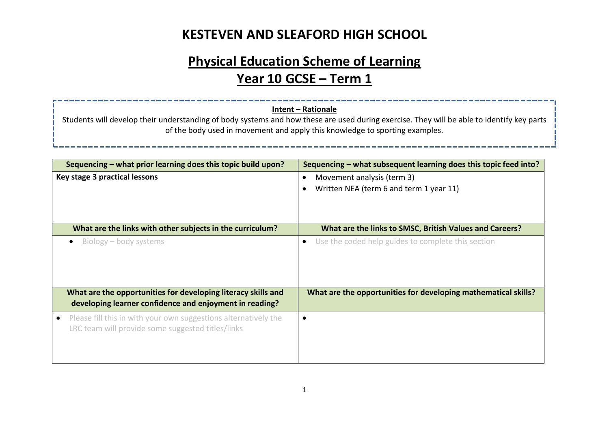# **Physical Education Scheme of Learning Year 10 GCSE – Term 1**

#### **Intent – Rationale**

Students will develop their understanding of body systems and how these are used during exercise. They will be able to identify key parts of the body used in movement and apply this knowledge to sporting examples.

| Sequencing – what prior learning does this topic build upon?                                                             | Sequencing – what subsequent learning does this topic feed into?                   |
|--------------------------------------------------------------------------------------------------------------------------|------------------------------------------------------------------------------------|
| Key stage 3 practical lessons                                                                                            | Movement analysis (term 3)<br>$\bullet$<br>Written NEA (term 6 and term 1 year 11) |
| What are the links with other subjects in the curriculum?                                                                | What are the links to SMSC, British Values and Careers?                            |
| Biology – body systems<br>$\bullet$                                                                                      | Use the coded help guides to complete this section<br>$\bullet$                    |
| What are the opportunities for developing literacy skills and<br>developing learner confidence and enjoyment in reading? | What are the opportunities for developing mathematical skills?                     |
| Please fill this in with your own suggestions alternatively the<br>LRC team will provide some suggested titles/links     | $\bullet$                                                                          |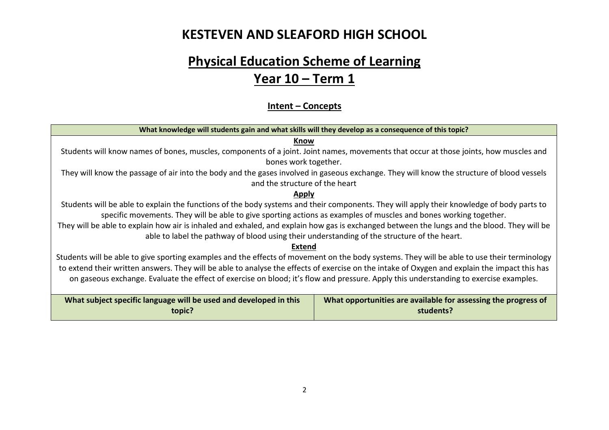# **Physical Education Scheme of Learning Year 10 – Term 1**

#### **Intent – Concepts**

| What knowledge will students gain and what skills will they develop as a consequence of this topic?                                           |                                                                |  |  |  |
|-----------------------------------------------------------------------------------------------------------------------------------------------|----------------------------------------------------------------|--|--|--|
| Know                                                                                                                                          |                                                                |  |  |  |
| Students will know names of bones, muscles, components of a joint. Joint names, movements that occur at those joints, how muscles and         |                                                                |  |  |  |
| bones work together.                                                                                                                          |                                                                |  |  |  |
| They will know the passage of air into the body and the gases involved in gaseous exchange. They will know the structure of blood vessels     |                                                                |  |  |  |
| and the structure of the heart                                                                                                                |                                                                |  |  |  |
| Apply                                                                                                                                         |                                                                |  |  |  |
| Students will be able to explain the functions of the body systems and their components. They will apply their knowledge of body parts to     |                                                                |  |  |  |
| specific movements. They will be able to give sporting actions as examples of muscles and bones working together.                             |                                                                |  |  |  |
| They will be able to explain how air is inhaled and exhaled, and explain how gas is exchanged between the lungs and the blood. They will be   |                                                                |  |  |  |
| able to label the pathway of blood using their understanding of the structure of the heart.                                                   |                                                                |  |  |  |
| Extend                                                                                                                                        |                                                                |  |  |  |
| Students will be able to give sporting examples and the effects of movement on the body systems. They will be able to use their terminology   |                                                                |  |  |  |
| to extend their written answers. They will be able to analyse the effects of exercise on the intake of Oxygen and explain the impact this has |                                                                |  |  |  |
|                                                                                                                                               |                                                                |  |  |  |
| on gaseous exchange. Evaluate the effect of exercise on blood; it's flow and pressure. Apply this understanding to exercise examples.         |                                                                |  |  |  |
|                                                                                                                                               |                                                                |  |  |  |
| What subject specific language will be used and developed in this                                                                             | What opportunities are available for assessing the progress of |  |  |  |
| topic?                                                                                                                                        | students?                                                      |  |  |  |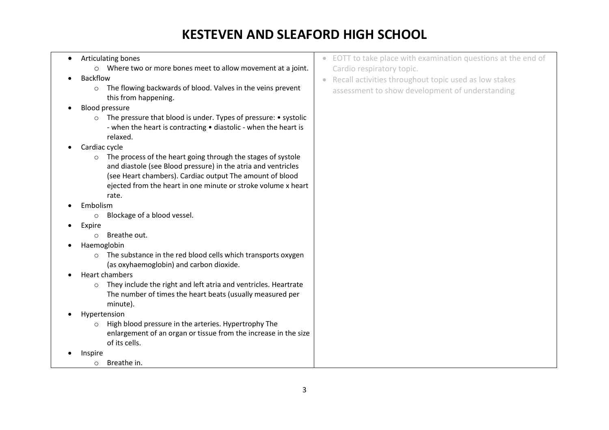• Articulating bones o Where two or more bones meet to allow movement at a joint. • Backflow o The flowing backwards of blood. Valves in the veins prevent this from happening. • Blood pressure o The pressure that blood is under. Types of pressure: • systolic - when the heart is contracting • diastolic - when the heart is relaxed. • Cardiac cycle o The process of the heart going through the stages of systole and diastole (see Blood pressure) in the atria and ventricles (see Heart chambers). Cardiac output The amount of blood ejected from the heart in one minute or stroke volume x heart rate. • Embolism o Blockage of a blood vessel. • Expire o Breathe out. • Haemoglobin o The substance in the red blood cells which transports oxygen (as oxyhaemoglobin) and carbon dioxide. • Heart chambers o They include the right and left atria and ventricles. Heartrate The number of times the heart beats (usually measured per minute). • Hypertension o High blood pressure in the arteries. Hypertrophy The enlargement of an organ or tissue from the increase in the size of its cells. • Inspire o Breathe in. • EOTT to take place with examination questions at the end of Cardio respiratory topic. • Recall activities throughout topic used as low stakes assessment to show development of understanding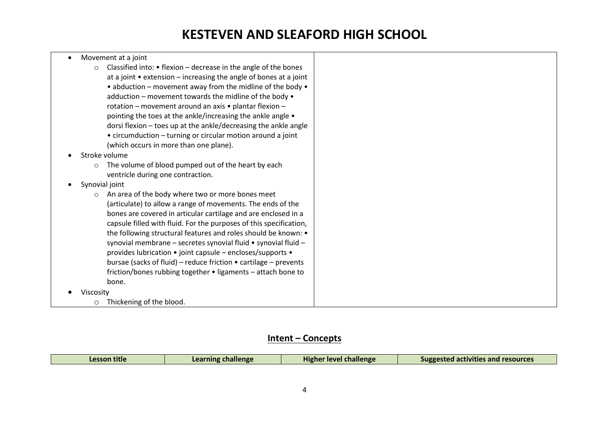#### • Movement at a joint  $\circ$  Classified into:  $\bullet$  flexion – decrease in the angle of the bones at a joint  $\bullet$  extension – increasing the angle of bones at a joint • abduction – movement away from the midline of the body • adduction – movement towards the midline of the body • rotation – movement around an axis • plantar flexion – pointing the toes at the ankle/increasing the ankle angle • dorsi flexion – toes up at the ankle/decreasing the ankle angle • circumduction – turning or circular motion around a joint (which occurs in more than one plane). • Stroke volume o The volume of blood pumped out of the heart by each ventricle during one contraction. • Synovial joint o An area of the body where two or more bones meet (articulate) to allow a range of movements. The ends of the bones are covered in articular cartilage and are enclosed in a capsule filled with fluid. For the purposes of this specification, the following structural features and roles should be known: • synovial membrane – secretes synovial fluid • synovial fluid – provides lubrication • joint capsule – encloses/supports • bursae (sacks of fluid) – reduce friction • cartilage – prevents friction/bones rubbing together • ligaments – attach bone to bone. • Viscosity o Thickening of the blood.

#### **Intent – Concepts**

| <br><b>Pallanga</b><br>-------- | .<br>challenge | resources<br><b>Suggested</b><br>itles and |
|---------------------------------|----------------|--------------------------------------------|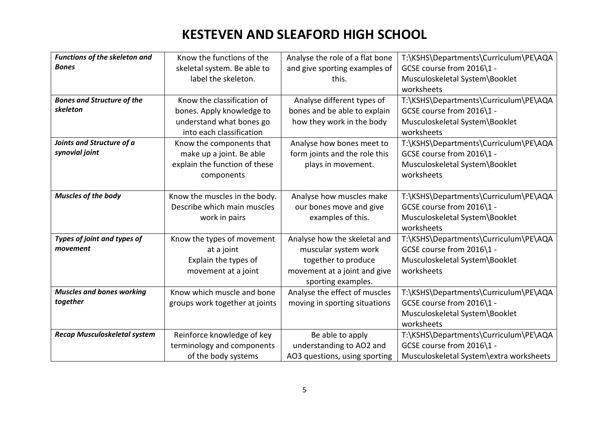| Functions of the skeleton and       | Know the functions of the      | Analyse the role of a flat bone | T:\KSHS\Departments\Curriculum\PE\AQA   |
|-------------------------------------|--------------------------------|---------------------------------|-----------------------------------------|
| <b>Bones</b>                        | skeletal system. Be able to    | and give sporting examples of   | GCSE course from 2016\1 -               |
|                                     | label the skeleton.            | this.                           | Musculoskeletal System\Booklet          |
|                                     |                                |                                 | worksheets                              |
| <b>Bones and Structure of the</b>   | Know the classification of     | Analyse different types of      | T:\KSHS\Departments\Curriculum\PE\AQA   |
| skeleton                            | bones. Apply knowledge to      | bones and be able to explain    | GCSE course from 2016\1 -               |
|                                     | understand what bones go       | how they work in the body       | Musculoskeletal System\Booklet          |
|                                     | into each classification       |                                 | worksheets                              |
| Joints and Structure of a           | Know the components that       | Analyse how bones meet to       | T:\KSHS\Departments\Curriculum\PE\AQA   |
| synovial joint                      | make up a joint. Be able       | form joints and the role this   | GCSE course from 2016\1 -               |
|                                     | explain the function of these  | plays in movement.              | Musculoskeletal System\Booklet          |
|                                     | components                     |                                 | worksheets                              |
|                                     |                                |                                 |                                         |
| Muscles of the body                 | Know the muscles in the body.  | Analyse how muscles make        | T:\KSHS\Departments\Curriculum\PE\AQA   |
|                                     | Describe which main muscles    | our bones move and give         | GCSE course from 2016\1 -               |
|                                     | work in pairs                  | examples of this.               | Musculoskeletal System\Booklet          |
|                                     |                                |                                 | worksheets                              |
| Types of joint and types of         | Know the types of movement     | Analyse how the skeletal and    | T:\KSHS\Departments\Curriculum\PE\AQA   |
| movement                            | at a joint                     | muscular system work            | GCSE course from 2016\1 -               |
|                                     | Explain the types of           | together to produce             | Musculoskeletal System\Booklet          |
|                                     | movement at a joint            | movement at a joint and give    | worksheets                              |
|                                     |                                | sporting examples.              |                                         |
| <b>Muscles and bones working</b>    | Know which muscle and bone     | Analyse the effect of muscles   | T:\KSHS\Departments\Curriculum\PE\AQA   |
| together                            | groups work together at joints | moving in sporting situations   | GCSE course from 2016\1 -               |
|                                     |                                |                                 | Musculoskeletal System\Booklet          |
|                                     |                                |                                 | worksheets                              |
| <b>Recap Musculoskeletal system</b> | Reinforce knowledge of key     | Be able to apply                | T:\KSHS\Departments\Curriculum\PE\AQA   |
|                                     | terminology and components     | understanding to AO2 and        | GCSE course from 2016\1 -               |
|                                     | of the body systems            | AO3 questions, using sporting   | Musculoskeletal System\extra worksheets |